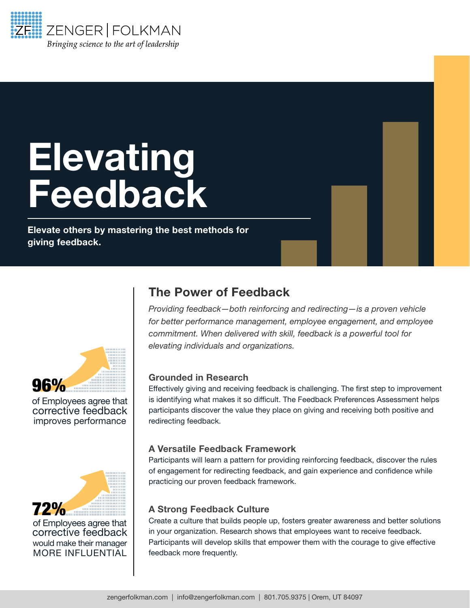

# **Elevating** Feedback

Elevate others by mastering the best methods for giving feedback.



of Employees agree that corrective feedback improves performance



of Employees agree that corrective feedback would make their manager MORE INFLUENTIAL

## The Power of Feedback

*Providing feedback—both reinforcing and redirecting—is a proven vehicle for better performance management, employee engagement, and employee commitment. When delivered with skill, feedback is a powerful tool for elevating individuals and organizations.* 

## Grounded in Research

Effectively giving and receiving feedback is challenging. The first step to improvement is identifying what makes it so difficult. The Feedback Preferences Assessment helps participants discover the value they place on giving and receiving both positive and redirecting feedback.

## A Versatile Feedback Framework

Participants will learn a pattern for providing reinforcing feedback, discover the rules of engagement for redirecting feedback, and gain experience and confidence while practicing our proven feedback framework.

## A Strong Feedback Culture

Create a culture that builds people up, fosters greater awareness and better solutions in your organization. Research shows that employees want to receive feedback. Participants will develop skills that empower them with the courage to give effective feedback more frequently.